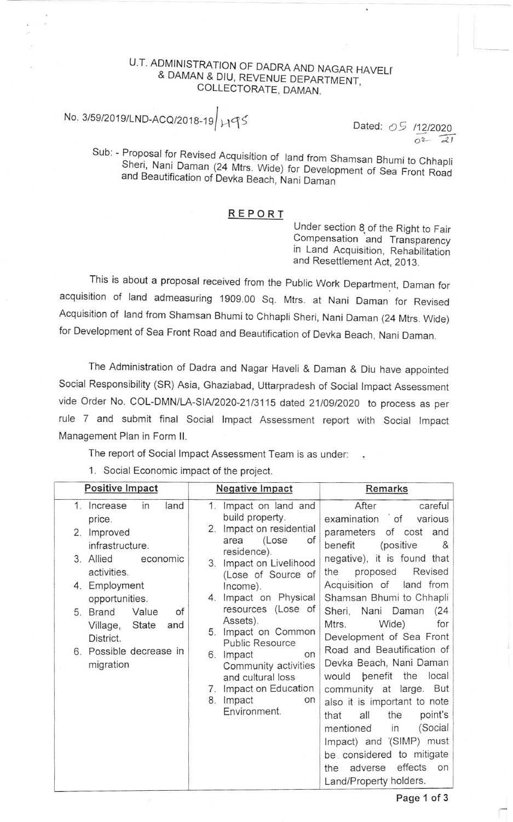# U.T. ADMINISTRATION OF DADRA AND NAGAR HAVELI<br>& DAMAN & DIU, REVENUE DEPARTMENT, COLLECTORATE, DAMAN.

# No. 3/59/2019/LND-ACQ/2018-19  $\mu$ 95 Dated: 09  $\mu$ 12/2020

 $\overline{0^2}$   $\overline{21}$ 

Sub: - Proposal for Revised Acquisition of land from Shamsan Bhumi to Chhapli Sheri, Proposal for Revised Acquisition of land from Shamsan Bhumi to Chhapli<br>Sheri, Nani Daman (24 Mtrs. Wide) for Development of Sea Front Road<br>and Beautification of Devka Beach, Nani Daman

#### REPO RT

Under section 8 of the Right to Fair Compensation and Transparency in Land Acquisition, Rehabilitation and Resetflement Act, 2013.

This is about a proposal received from the Public Work Department, Daman for acquisition of land admeasuring 1909.00 Sq. Mtrs. at Nani Daman for Revised Acquisition of land from Shamsan Bhumi to Chhapli Sheri, Nani Daman (24 Mtrs. Wide) for Development of Sea Front Road and Beautification of Devka Beach, Nani Daman.

The Administration of Dadra and Nagar Haveli & Daman & Diu have appointed social Responsibility (sR) Asia, Ghaziabad, Uttarpradesh of social lmpact Assessment vide Order No. COL-DMN/LA-SIA/2020-21/3115 dated 21/09/2020 to process as per rule 7 and submit final Social lmpact Assessment report with Social lmpact Management Plan in Form ll.

The report of Social lmpact Assessment Team is as under:

1. Social Economic impact of the project.

| <b>Positive Impact</b>                                                                                                                                                                                                                                             | <b>Negative Impact</b>                                                                                                                                                                                                                                                                                                                                                                                                                   | Remarks                                                                                                                                                                                                                                                                                                                                                                                                                                                                                                                                                                                                                                                                                                             |
|--------------------------------------------------------------------------------------------------------------------------------------------------------------------------------------------------------------------------------------------------------------------|------------------------------------------------------------------------------------------------------------------------------------------------------------------------------------------------------------------------------------------------------------------------------------------------------------------------------------------------------------------------------------------------------------------------------------------|---------------------------------------------------------------------------------------------------------------------------------------------------------------------------------------------------------------------------------------------------------------------------------------------------------------------------------------------------------------------------------------------------------------------------------------------------------------------------------------------------------------------------------------------------------------------------------------------------------------------------------------------------------------------------------------------------------------------|
| 1.<br>in<br>Increase<br>land<br>price.<br>Improved<br>2.<br>infrastructure.<br>3. Allied<br>economic<br>activities.<br>4. Employment<br>opportunities.<br>Value<br>of<br>5. Brand<br>Village,<br>State<br>and<br>District.<br>6. Possible decrease in<br>migration | Impact on land and<br>$\mathbf{1}$ .<br>build property.<br>Impact on residential<br>2.<br>(Lose<br>of<br>area<br>residence).<br>Impact on Livelihood<br>3.<br>(Lose of Source of<br>Income).<br>4. Impact on Physical<br>resources (Lose of<br>Assets).<br>5. Impact on Common<br><b>Public Resource</b><br>6. Impact<br>on<br>Community activities<br>and cultural loss<br>7. Impact on Education<br>Impact<br>8.<br>on<br>Environment. | After<br>careful<br>examination<br>$\overline{\phantom{a}}$ of<br>various<br>of cost and<br>parameters<br>(positive<br>benefit<br>&<br>negative), it is found that<br>Revised<br>proposed<br>the<br>Acquisition of land from<br>Shamsan Bhumi to Chhapli<br>Sheri, Nani Daman<br>(24)<br>Wide)<br>Mtrs.<br>for<br>Development of Sea Front<br>Road and Beautification of<br>Devka Beach, Nani Daman<br>benefit<br>local<br>the<br>would<br>community at large. But<br>also it is important to note<br>all<br>the<br>point's<br>that<br>(Social<br>mentioned<br>in<br>Impact) and (SIMP) must<br>be considered to mitigate<br>effects<br>adverse<br>on<br>the<br>Land/Property holders.<br>$\mathbf{r}$ $\mathbf{r}$ |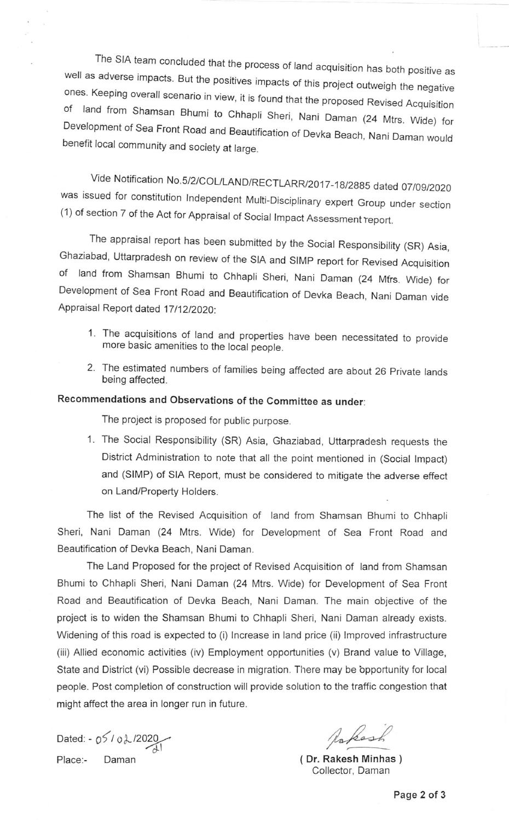The SIA team concluded that the process of land acquisition has both positive as<br>well as adverse impacts. But the positives impacts of this project outweigh the negative<br>ones. Keeping overall scenario in view, it is found

Vide Notification No.5/2/COL/LAND/RECTLARR/2017-18/2885 dated 07/09/2020 was issued for constitution Independent Multi-Disciplinary expert Group under section (1) of section 7 of the Act for Appraisal of Social Impact Assessment report.

The appraisal report has been submitted by the Social Responsibility (SR) Asia,<br>Ghaziabad, Uttarpradesh on review of the SIA and SIMP report for Revised Acquisition of land from Shamsan Bhumi to Chhapli Sheri, Nani Daman (24 Mtrs. Wide) for Development of sea Front Road and Beautification of Devka Beach, Nani Daman vide Appraisal Report dated 17/12/2020:

- 1. The acquisitions of land and properties have been necessitated to provide more basic amenities to the local people.
- 2. The estimated numbers of families being affected are about 26 Private lands being affected.

## Recommendations and Observations of the Committee as under:

The project is proposed for public purpose.

1. The Social Responsibility (SR) Asia, Ghaziabad, Uttarpradesh requests the District Administration to note that all the point mentioned in (Social lmpact) and (SIMP) of SIA Report, must be considered to mitigate the adverse effect on Land/Property Holders.

The list of the Revised Acquisition of land from Shamsan Bhumi to Chhapli Sheri, Nani Daman (24 Mtrs. Wide) for Development of Sea Front Road and Beautification of Devka Beach, Nani Daman.

The Land Proposed for the project of Revised Acquisition of land from Shamsan Bhumi to Chhapli Sheri, Nani Daman (24 Mtrs. Wide) for Development of Sea Front Road and Beautification of Devka Beach, Nani Daman. The main objective of the project is to widen the Shamsan Bhumi to Chhapli Sheri, Nani Daman already exists. Widening of this road is expected to (i) lncrease in land price (ii) lmproved infrastructure (iii) Allied economic activities (iv) Employment opportunities (v) Brand value to Village, State and District (vi) Possible decrease in migration. There may be bpportunity for local people. Post completion of construction will provide solution to the traffic congestion that might affect the area in longer run in future.

Dated:  $-05/02/2020$ Place:- Daman (Dr. Rakesh Minhas )

Rokash

Collector, Daman